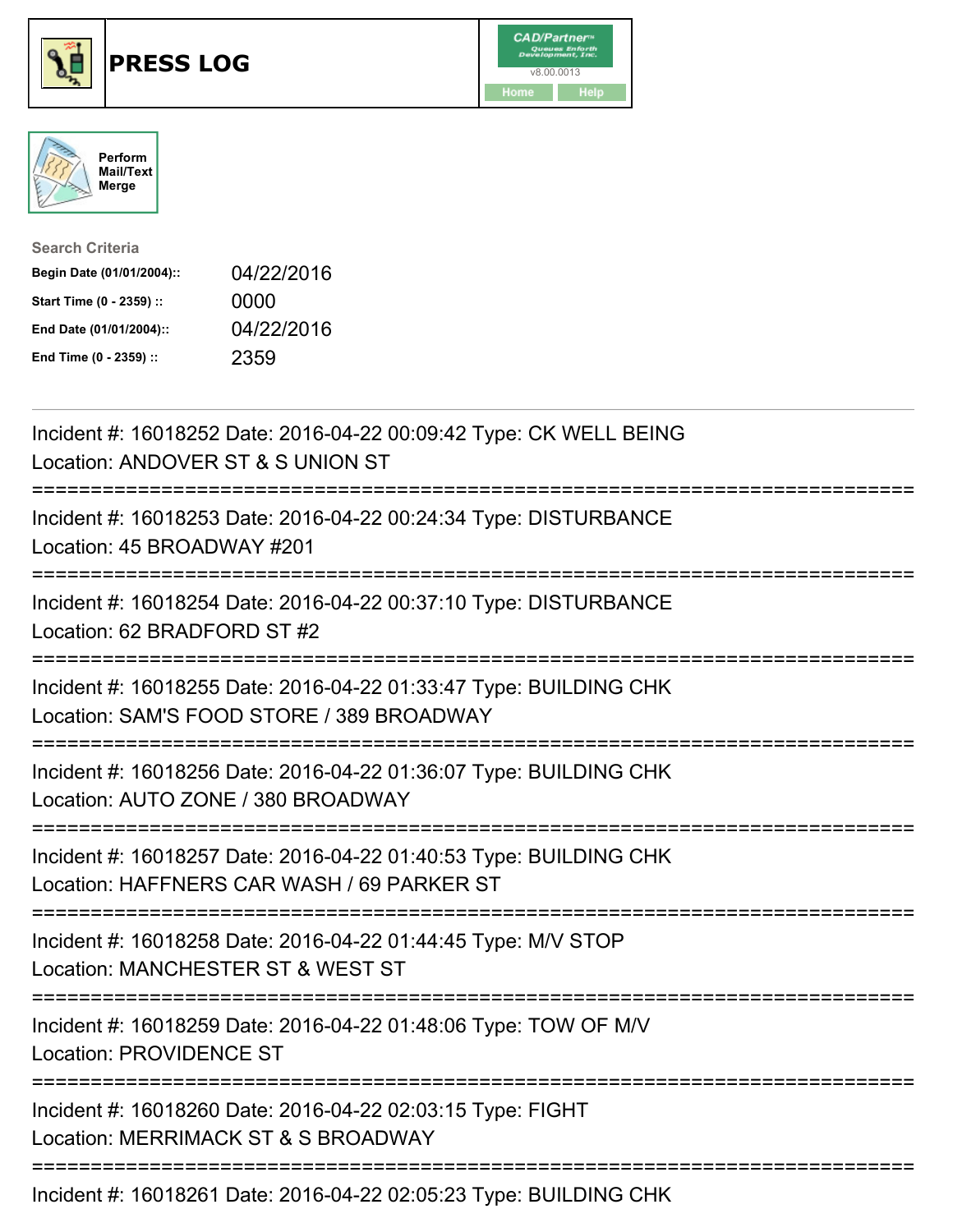





| <b>Search Criteria</b>    |            |
|---------------------------|------------|
| Begin Date (01/01/2004):: | 04/22/2016 |
| Start Time (0 - 2359) ::  | 0000       |
| End Date (01/01/2004)::   | 04/22/2016 |
| End Time (0 - 2359) ::    | 2359       |

| Incident #: 16018252 Date: 2016-04-22 00:09:42 Type: CK WELL BEING<br>Location: ANDOVER ST & S UNION ST                                        |
|------------------------------------------------------------------------------------------------------------------------------------------------|
| Incident #: 16018253 Date: 2016-04-22 00:24:34 Type: DISTURBANCE<br>Location: 45 BROADWAY #201                                                 |
| Incident #: 16018254 Date: 2016-04-22 00:37:10 Type: DISTURBANCE<br>Location: 62 BRADFORD ST #2                                                |
| Incident #: 16018255 Date: 2016-04-22 01:33:47 Type: BUILDING CHK<br>Location: SAM'S FOOD STORE / 389 BROADWAY                                 |
| Incident #: 16018256 Date: 2016-04-22 01:36:07 Type: BUILDING CHK<br>Location: AUTO ZONE / 380 BROADWAY                                        |
| Incident #: 16018257 Date: 2016-04-22 01:40:53 Type: BUILDING CHK<br>Location: HAFFNERS CAR WASH / 69 PARKER ST<br>--------------------------- |
| Incident #: 16018258 Date: 2016-04-22 01:44:45 Type: M/V STOP<br>Location: MANCHESTER ST & WEST ST                                             |
| Incident #: 16018259 Date: 2016-04-22 01:48:06 Type: TOW OF M/V<br><b>Location: PROVIDENCE ST</b>                                              |
| ==================<br>Incident #: 16018260 Date: 2016-04-22 02:03:15 Type: FIGHT<br>Location: MERRIMACK ST & S BROADWAY                        |
| Incident #: 16018261 Date: 2016-04-22 02:05:23 Type: BUILDING CHK                                                                              |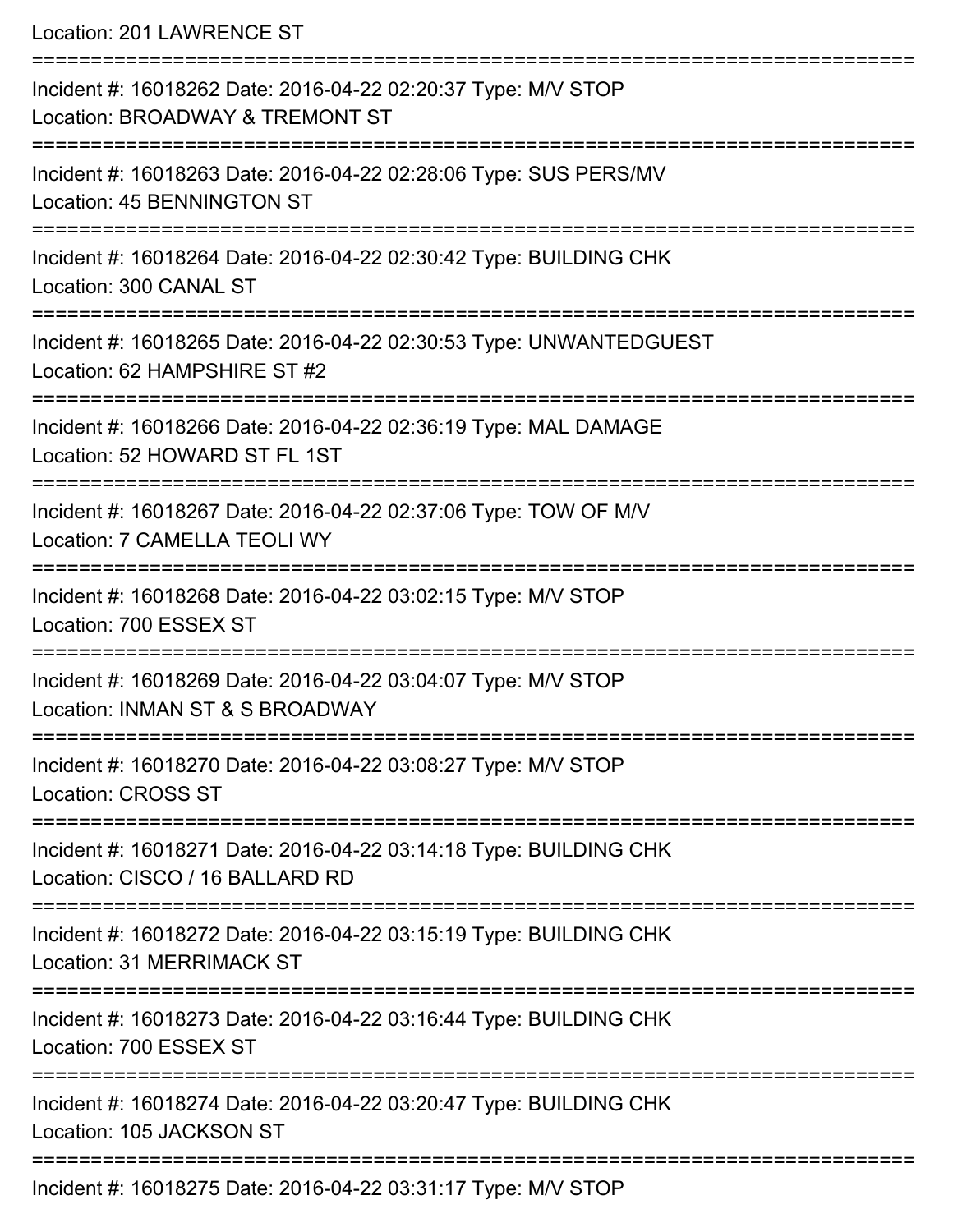Location: 201 LAWRENCE ST

| Incident #: 16018262 Date: 2016-04-22 02:20:37 Type: M/V STOP<br>Location: BROADWAY & TREMONT ST     |
|------------------------------------------------------------------------------------------------------|
| Incident #: 16018263 Date: 2016-04-22 02:28:06 Type: SUS PERS/MV<br>Location: 45 BENNINGTON ST       |
| Incident #: 16018264 Date: 2016-04-22 02:30:42 Type: BUILDING CHK<br>Location: 300 CANAL ST          |
| Incident #: 16018265 Date: 2016-04-22 02:30:53 Type: UNWANTEDGUEST<br>Location: 62 HAMPSHIRE ST #2   |
| Incident #: 16018266 Date: 2016-04-22 02:36:19 Type: MAL DAMAGE<br>Location: 52 HOWARD ST FL 1ST     |
| Incident #: 16018267 Date: 2016-04-22 02:37:06 Type: TOW OF M/V<br>Location: 7 CAMELLA TEOLI WY      |
| Incident #: 16018268 Date: 2016-04-22 03:02:15 Type: M/V STOP<br>Location: 700 ESSEX ST              |
| Incident #: 16018269 Date: 2016-04-22 03:04:07 Type: M/V STOP<br>Location: INMAN ST & S BROADWAY     |
| Incident #: 16018270 Date: 2016-04-22 03:08:27 Type: M/V STOP<br><b>Location: CROSS ST</b>           |
| Incident #: 16018271 Date: 2016-04-22 03:14:18 Type: BUILDING CHK<br>Location: CISCO / 16 BALLARD RD |
| Incident #: 16018272 Date: 2016-04-22 03:15:19 Type: BUILDING CHK<br>Location: 31 MERRIMACK ST       |
| Incident #: 16018273 Date: 2016-04-22 03:16:44 Type: BUILDING CHK<br>Location: 700 ESSEX ST          |
| Incident #: 16018274 Date: 2016-04-22 03:20:47 Type: BUILDING CHK<br>Location: 105 JACKSON ST        |
| Incident #: 16018275 Date: 2016-04-22 03:31:17 Type: M/V STOP                                        |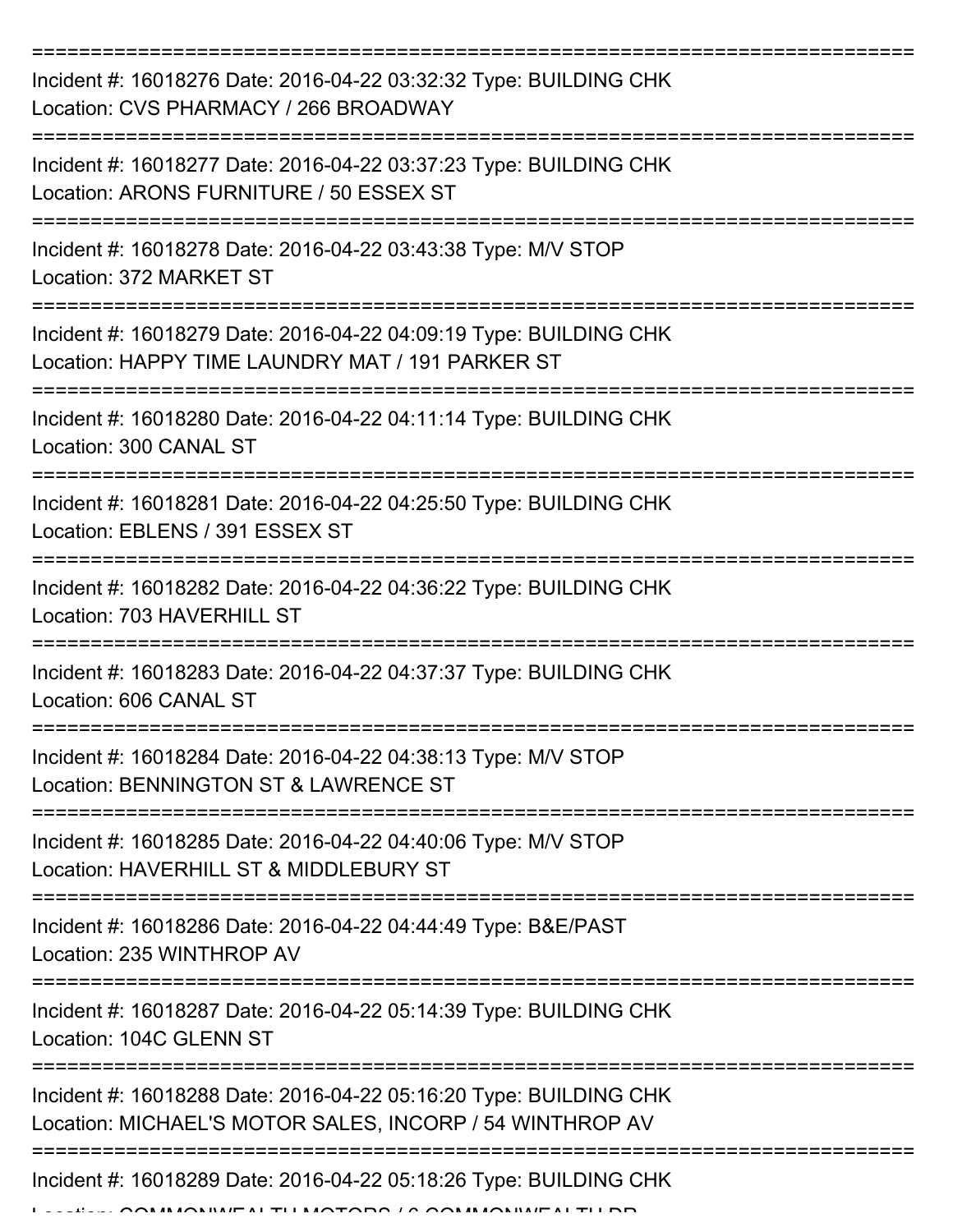| Incident #: 16018276 Date: 2016-04-22 03:32:32 Type: BUILDING CHK<br>Location: CVS PHARMACY / 266 BROADWAY                      |
|---------------------------------------------------------------------------------------------------------------------------------|
| Incident #: 16018277 Date: 2016-04-22 03:37:23 Type: BUILDING CHK<br>Location: ARONS FURNITURE / 50 ESSEX ST                    |
| Incident #: 16018278 Date: 2016-04-22 03:43:38 Type: M/V STOP<br>Location: 372 MARKET ST                                        |
| Incident #: 16018279 Date: 2016-04-22 04:09:19 Type: BUILDING CHK<br>Location: HAPPY TIME LAUNDRY MAT / 191 PARKER ST           |
| Incident #: 16018280 Date: 2016-04-22 04:11:14 Type: BUILDING CHK<br>Location: 300 CANAL ST<br>================================ |
| Incident #: 16018281 Date: 2016-04-22 04:25:50 Type: BUILDING CHK<br>Location: EBLENS / 391 ESSEX ST                            |
| Incident #: 16018282 Date: 2016-04-22 04:36:22 Type: BUILDING CHK<br>Location: 703 HAVERHILL ST                                 |
| Incident #: 16018283 Date: 2016-04-22 04:37:37 Type: BUILDING CHK<br>Location: 606 CANAL ST                                     |
| Incident #: 16018284 Date: 2016-04-22 04:38:13 Type: M/V STOP<br>Location: BENNINGTON ST & LAWRENCE ST                          |
| Incident #: 16018285 Date: 2016-04-22 04:40:06 Type: M/V STOP<br>Location: HAVERHILL ST & MIDDLEBURY ST                         |
| Incident #: 16018286 Date: 2016-04-22 04:44:49 Type: B&E/PAST<br>Location: 235 WINTHROP AV                                      |
| Incident #: 16018287 Date: 2016-04-22 05:14:39 Type: BUILDING CHK<br>Location: 104C GLENN ST                                    |
| Incident #: 16018288 Date: 2016-04-22 05:16:20 Type: BUILDING CHK<br>Location: MICHAEL'S MOTOR SALES, INCORP / 54 WINTHROP AV   |
| Incident #: 16018289 Date: 2016-04-22 05:18:26 Type: BUILDING CHK                                                               |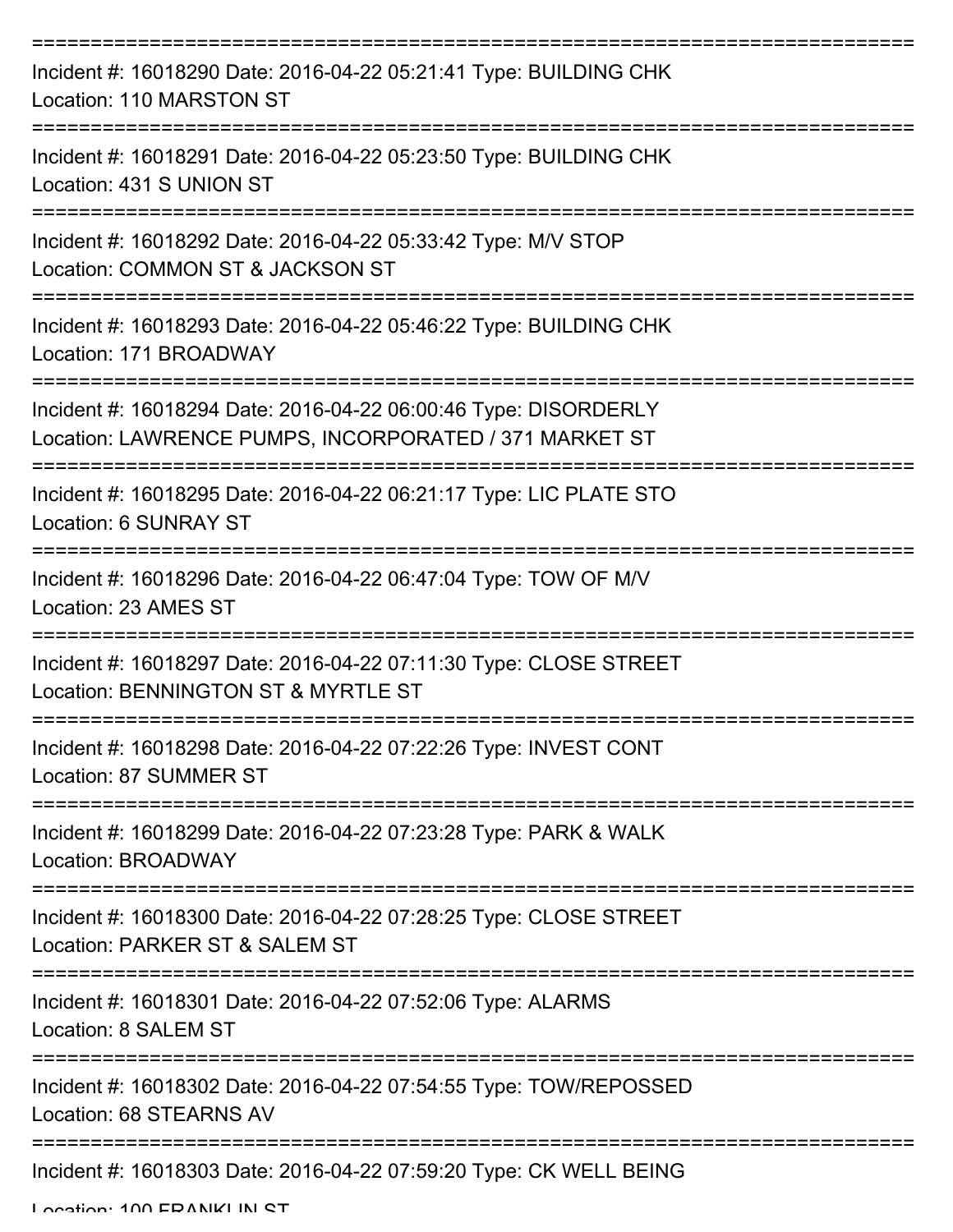| Incident #: 16018290 Date: 2016-04-22 05:21:41 Type: BUILDING CHK<br>Location: 110 MARSTON ST                             |
|---------------------------------------------------------------------------------------------------------------------------|
| Incident #: 16018291 Date: 2016-04-22 05:23:50 Type: BUILDING CHK<br>Location: 431 S UNION ST                             |
| Incident #: 16018292 Date: 2016-04-22 05:33:42 Type: M/V STOP<br>Location: COMMON ST & JACKSON ST                         |
| Incident #: 16018293 Date: 2016-04-22 05:46:22 Type: BUILDING CHK<br>Location: 171 BROADWAY                               |
| Incident #: 16018294 Date: 2016-04-22 06:00:46 Type: DISORDERLY<br>Location: LAWRENCE PUMPS, INCORPORATED / 371 MARKET ST |
| Incident #: 16018295 Date: 2016-04-22 06:21:17 Type: LIC PLATE STO<br>Location: 6 SUNRAY ST                               |
| Incident #: 16018296 Date: 2016-04-22 06:47:04 Type: TOW OF M/V<br>Location: 23 AMES ST<br>--------                       |
| Incident #: 16018297 Date: 2016-04-22 07:11:30 Type: CLOSE STREET<br>Location: BENNINGTON ST & MYRTLE ST                  |
| Incident #: 16018298 Date: 2016-04-22 07:22:26 Type: INVEST CONT<br><b>Location: 87 SUMMER ST</b>                         |
| Incident #: 16018299 Date: 2016-04-22 07:23:28 Type: PARK & WALK<br>Location: BROADWAY                                    |
| Incident #: 16018300 Date: 2016-04-22 07:28:25 Type: CLOSE STREET<br>Location: PARKER ST & SALEM ST                       |
| Incident #: 16018301 Date: 2016-04-22 07:52:06 Type: ALARMS<br>Location: 8 SALEM ST                                       |
| Incident #: 16018302 Date: 2016-04-22 07:54:55 Type: TOW/REPOSSED<br>Location: 68 STEARNS AV                              |
| Incident #: 16018303 Date: 2016-04-22 07:59:20 Type: CK WELL BEING                                                        |

Location: 100 EDANIKI IN ST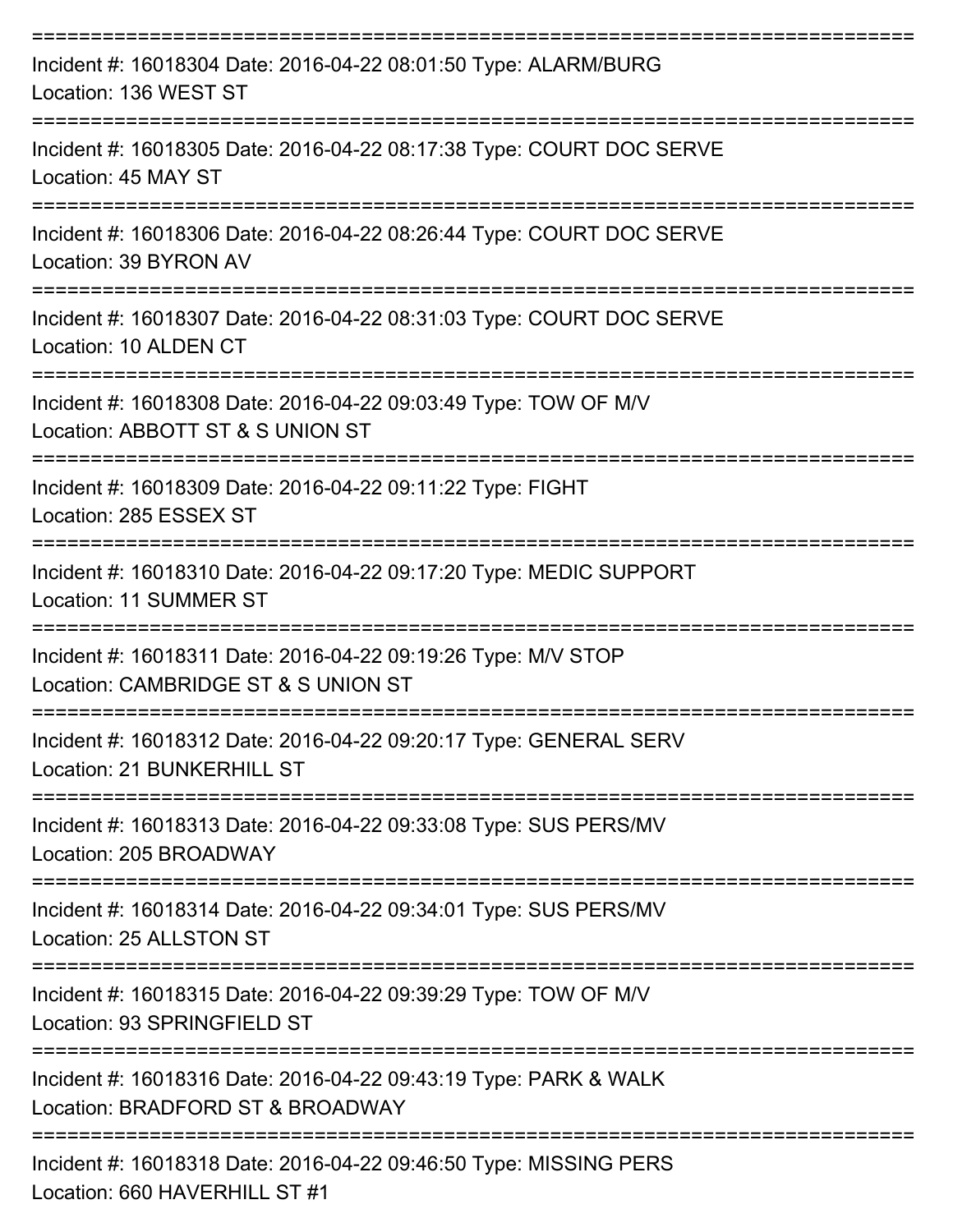| Incident #: 16018304 Date: 2016-04-22 08:01:50 Type: ALARM/BURG<br>Location: 136 WEST ST                         |
|------------------------------------------------------------------------------------------------------------------|
| Incident #: 16018305 Date: 2016-04-22 08:17:38 Type: COURT DOC SERVE<br>Location: 45 MAY ST                      |
| Incident #: 16018306 Date: 2016-04-22 08:26:44 Type: COURT DOC SERVE<br>Location: 39 BYRON AV                    |
| Incident #: 16018307 Date: 2016-04-22 08:31:03 Type: COURT DOC SERVE<br>Location: 10 ALDEN CT                    |
| Incident #: 16018308 Date: 2016-04-22 09:03:49 Type: TOW OF M/V<br>Location: ABBOTT ST & S UNION ST              |
| Incident #: 16018309 Date: 2016-04-22 09:11:22 Type: FIGHT<br>Location: 285 ESSEX ST                             |
| Incident #: 16018310 Date: 2016-04-22 09:17:20 Type: MEDIC SUPPORT<br><b>Location: 11 SUMMER ST</b><br>--------- |
| Incident #: 16018311 Date: 2016-04-22 09:19:26 Type: M/V STOP<br>Location: CAMBRIDGE ST & S UNION ST             |
| Incident #: 16018312 Date: 2016-04-22 09:20:17 Type: GENERAL SERV<br>Location: 21 BUNKERHILL ST                  |
| Incident #: 16018313 Date: 2016-04-22 09:33:08 Type: SUS PERS/MV<br>Location: 205 BROADWAY                       |
| Incident #: 16018314 Date: 2016-04-22 09:34:01 Type: SUS PERS/MV<br>Location: 25 ALLSTON ST                      |
| Incident #: 16018315 Date: 2016-04-22 09:39:29 Type: TOW OF M/V<br>Location: 93 SPRINGFIELD ST                   |
| Incident #: 16018316 Date: 2016-04-22 09:43:19 Type: PARK & WALK<br>Location: BRADFORD ST & BROADWAY             |
| Incident #: 16018318 Date: 2016-04-22 09:46:50 Type: MISSING PERS                                                |

Location: 660 HAVERHILL ST #1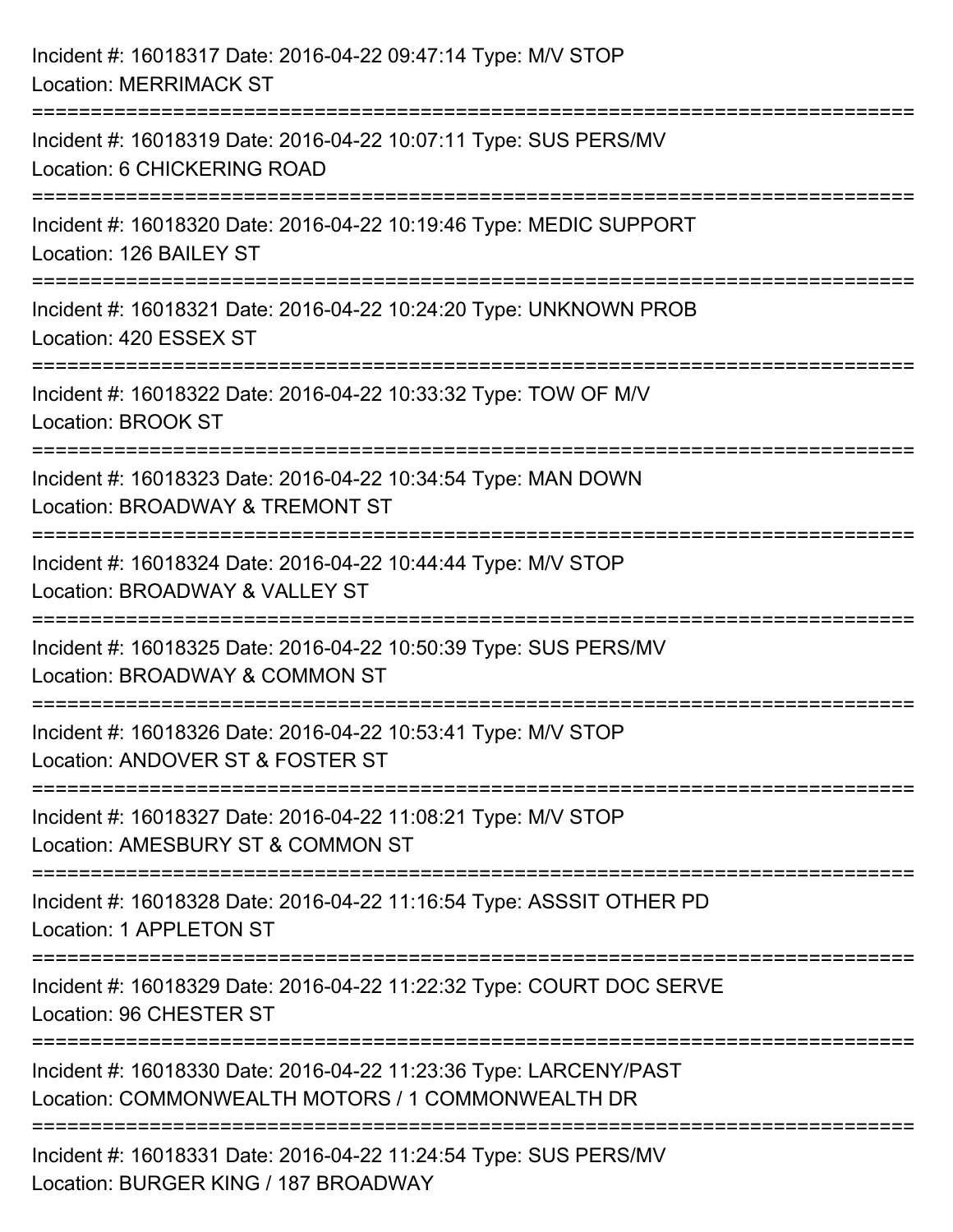| Incident #: 16018317 Date: 2016-04-22 09:47:14 Type: M/V STOP<br><b>Location: MERRIMACK ST</b>                            |
|---------------------------------------------------------------------------------------------------------------------------|
| Incident #: 16018319 Date: 2016-04-22 10:07:11 Type: SUS PERS/MV<br>Location: 6 CHICKERING ROAD                           |
| :==============<br>Incident #: 16018320 Date: 2016-04-22 10:19:46 Type: MEDIC SUPPORT<br>Location: 126 BAILEY ST          |
| Incident #: 16018321 Date: 2016-04-22 10:24:20 Type: UNKNOWN PROB<br>Location: 420 ESSEX ST                               |
| Incident #: 16018322 Date: 2016-04-22 10:33:32 Type: TOW OF M/V<br>Location: BROOK ST                                     |
| Incident #: 16018323 Date: 2016-04-22 10:34:54 Type: MAN DOWN<br>Location: BROADWAY & TREMONT ST                          |
| ----------------------<br>Incident #: 16018324 Date: 2016-04-22 10:44:44 Type: M/V STOP<br>Location: BROADWAY & VALLEY ST |
| Incident #: 16018325 Date: 2016-04-22 10:50:39 Type: SUS PERS/MV<br>Location: BROADWAY & COMMON ST                        |
| Incident #: 16018326 Date: 2016-04-22 10:53:41 Type: M/V STOP<br>Location: ANDOVER ST & FOSTER ST                         |
| Incident #: 16018327 Date: 2016-04-22 11:08:21 Type: M/V STOP<br>Location: AMESBURY ST & COMMON ST                        |
| Incident #: 16018328 Date: 2016-04-22 11:16:54 Type: ASSSIT OTHER PD<br>Location: 1 APPLETON ST                           |
| Incident #: 16018329 Date: 2016-04-22 11:22:32 Type: COURT DOC SERVE<br>Location: 96 CHESTER ST                           |
| Incident #: 16018330 Date: 2016-04-22 11:23:36 Type: LARCENY/PAST<br>Location: COMMONWEALTH MOTORS / 1 COMMONWEALTH DR    |
| Incident #: 16018331 Date: 2016-04-22 11:24:54 Type: SUS PERS/MV<br>Location: BURGER KING / 187 BROADWAY                  |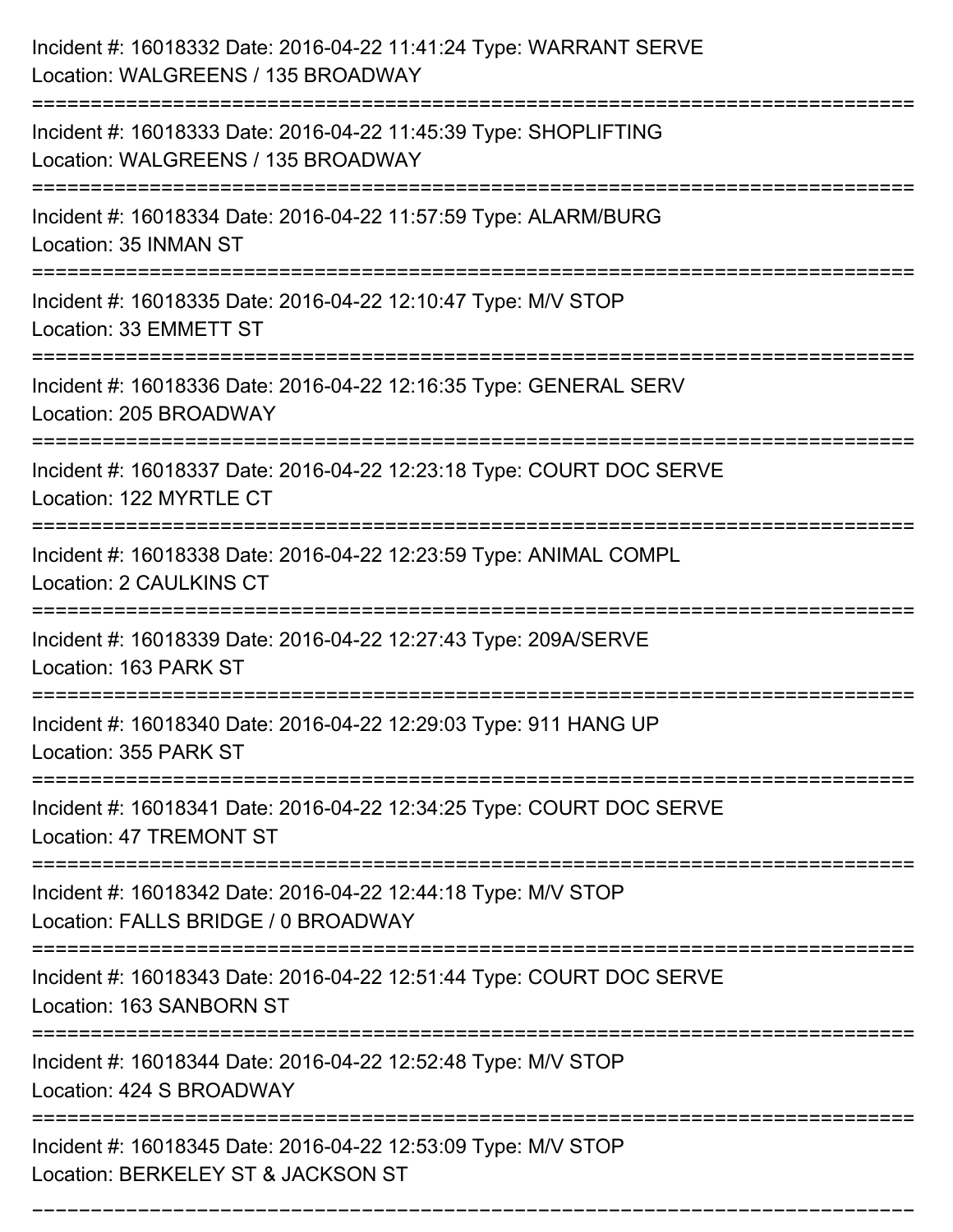| Incident #: 16018332 Date: 2016-04-22 11:41:24 Type: WARRANT SERVE<br>Location: WALGREENS / 135 BROADWAY           |
|--------------------------------------------------------------------------------------------------------------------|
| Incident #: 16018333 Date: 2016-04-22 11:45:39 Type: SHOPLIFTING<br>Location: WALGREENS / 135 BROADWAY             |
| Incident #: 16018334 Date: 2016-04-22 11:57:59 Type: ALARM/BURG<br>Location: 35 INMAN ST                           |
| Incident #: 16018335 Date: 2016-04-22 12:10:47 Type: M/V STOP<br>Location: 33 EMMETT ST                            |
| Incident #: 16018336 Date: 2016-04-22 12:16:35 Type: GENERAL SERV<br>Location: 205 BROADWAY                        |
| Incident #: 16018337 Date: 2016-04-22 12:23:18 Type: COURT DOC SERVE<br>Location: 122 MYRTLE CT                    |
| Incident #: 16018338 Date: 2016-04-22 12:23:59 Type: ANIMAL COMPL<br><b>Location: 2 CAULKINS CT</b>                |
| Incident #: 16018339 Date: 2016-04-22 12:27:43 Type: 209A/SERVE<br>Location: 163 PARK ST                           |
| Incident #: 16018340 Date: 2016-04-22 12:29:03 Type: 911 HANG UP<br>Location: 355 PARK ST                          |
| Incident #: 16018341 Date: 2016-04-22 12:34:25 Type: COURT DOC SERVE<br><b>Location: 47 TREMONT ST</b>             |
| Incident #: 16018342 Date: 2016-04-22 12:44:18 Type: M/V STOP<br>Location: FALLS BRIDGE / 0 BROADWAY               |
| Incident #: 16018343 Date: 2016-04-22 12:51:44 Type: COURT DOC SERVE<br>Location: 163 SANBORN ST<br>============== |
| Incident #: 16018344 Date: 2016-04-22 12:52:48 Type: M/V STOP<br>Location: 424 S BROADWAY                          |
| Incident #: 16018345 Date: 2016-04-22 12:53:09 Type: M/V STOP<br>Location: BERKELEY ST & JACKSON ST                |

===========================================================================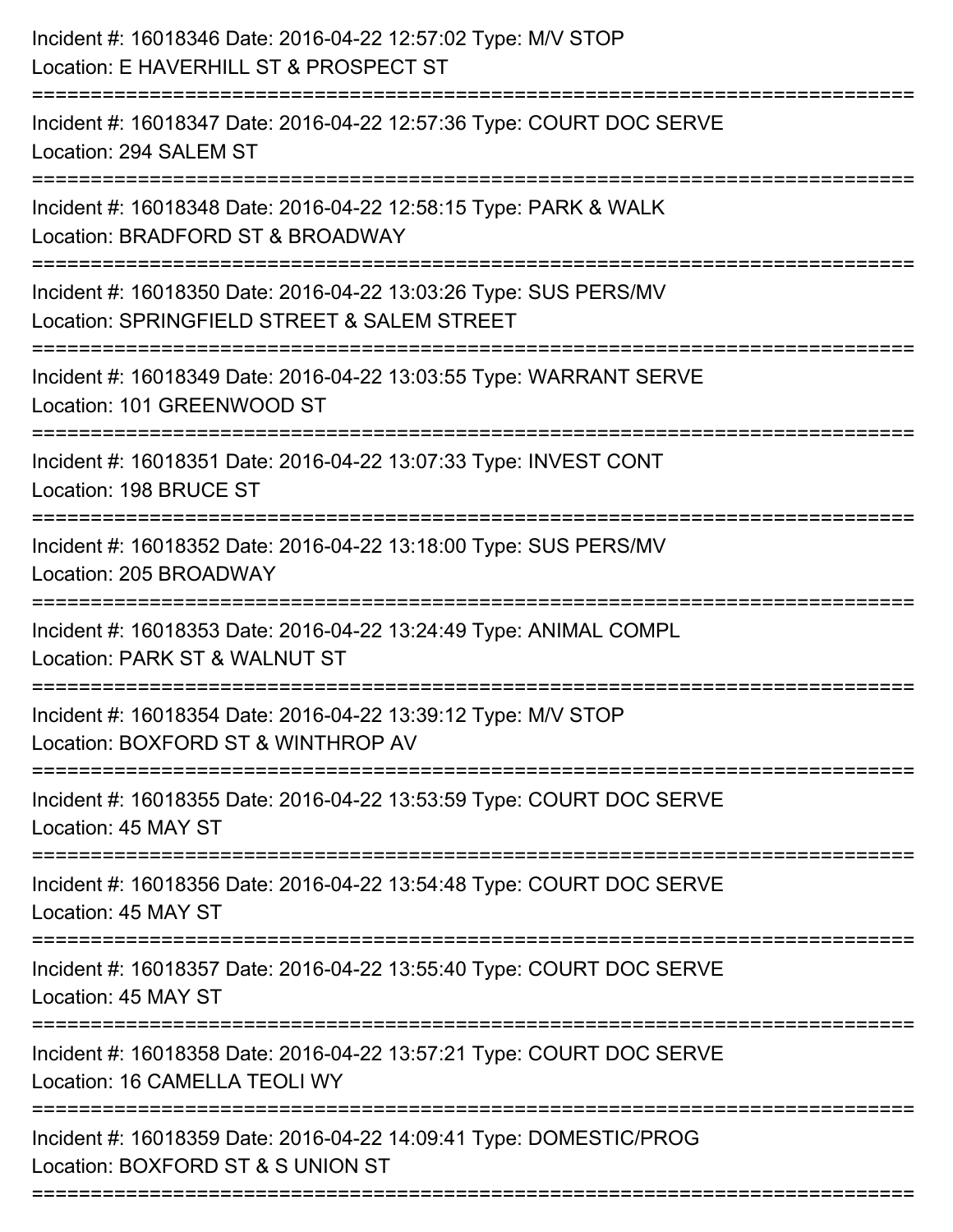| Incident #: 16018346 Date: 2016-04-22 12:57:02 Type: M/V STOP<br>Location: E HAVERHILL ST & PROSPECT ST         |
|-----------------------------------------------------------------------------------------------------------------|
| Incident #: 16018347 Date: 2016-04-22 12:57:36 Type: COURT DOC SERVE<br>Location: 294 SALEM ST                  |
| Incident #: 16018348 Date: 2016-04-22 12:58:15 Type: PARK & WALK<br>Location: BRADFORD ST & BROADWAY            |
| Incident #: 16018350 Date: 2016-04-22 13:03:26 Type: SUS PERS/MV<br>Location: SPRINGFIELD STREET & SALEM STREET |
| Incident #: 16018349 Date: 2016-04-22 13:03:55 Type: WARRANT SERVE<br>Location: 101 GREENWOOD ST                |
| Incident #: 16018351 Date: 2016-04-22 13:07:33 Type: INVEST CONT<br>Location: 198 BRUCE ST                      |
| Incident #: 16018352 Date: 2016-04-22 13:18:00 Type: SUS PERS/MV<br>Location: 205 BROADWAY                      |
| Incident #: 16018353 Date: 2016-04-22 13:24:49 Type: ANIMAL COMPL<br>Location: PARK ST & WALNUT ST              |
| Incident #: 16018354 Date: 2016-04-22 13:39:12 Type: M/V STOP<br>Location: BOXFORD ST & WINTHROP AV             |
| Incident #: 16018355 Date: 2016-04-22 13:53:59 Type: COURT DOC SERVE<br>Location: 45 MAY ST                     |
| Incident #: 16018356 Date: 2016-04-22 13:54:48 Type: COURT DOC SERVE<br>Location: 45 MAY ST                     |
| Incident #: 16018357 Date: 2016-04-22 13:55:40 Type: COURT DOC SERVE<br>Location: 45 MAY ST                     |
| Incident #: 16018358 Date: 2016-04-22 13:57:21 Type: COURT DOC SERVE<br>Location: 16 CAMELLA TEOLI WY           |
| Incident #: 16018359 Date: 2016-04-22 14:09:41 Type: DOMESTIC/PROG<br>Location: BOXFORD ST & S UNION ST         |
|                                                                                                                 |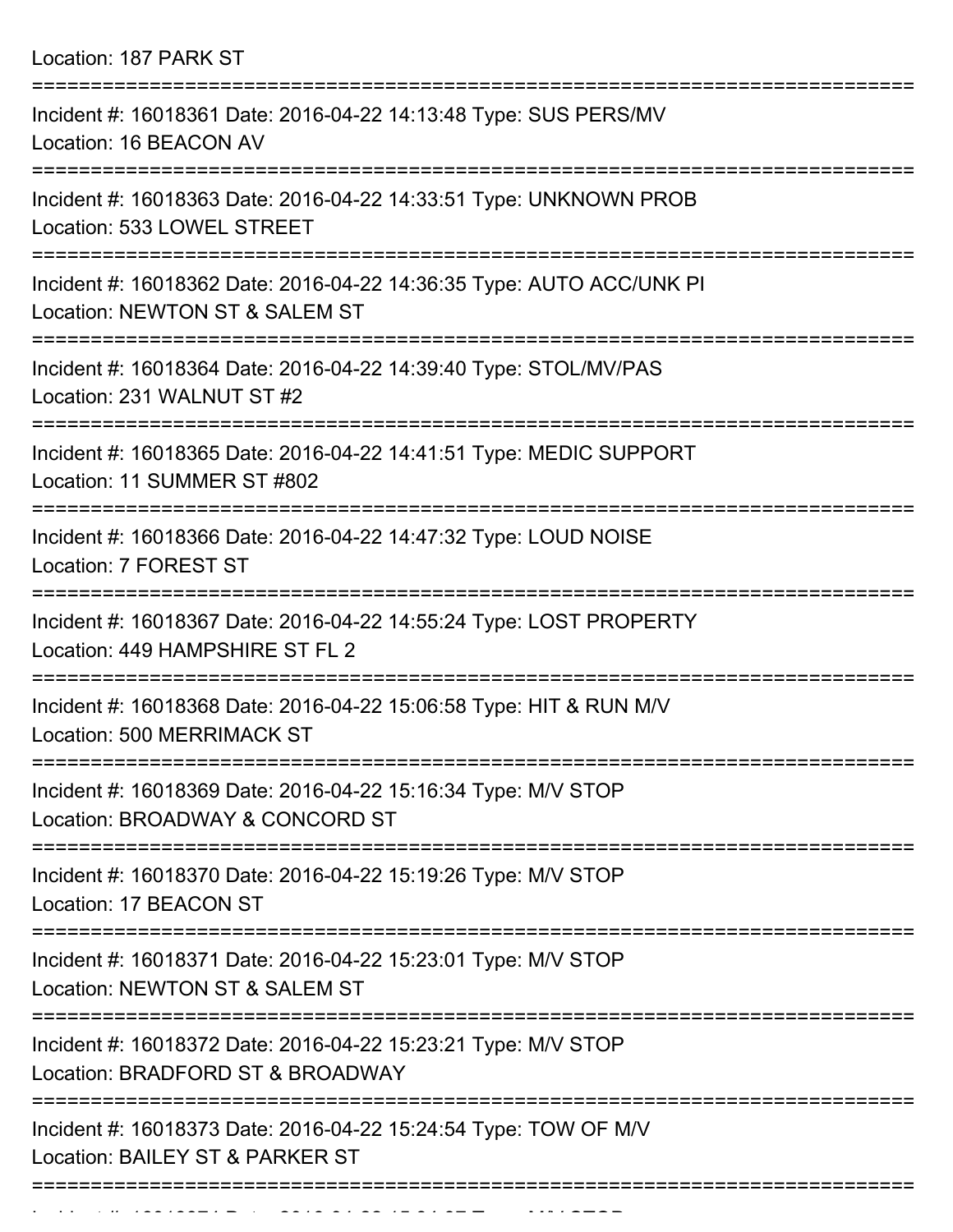Location: 187 PARK ST =========================================================================== Incident #: 16018361 Date: 2016-04-22 14:13:48 Type: SUS PERS/MV Location: 16 BEACON AV =========================================================================== Incident #: 16018363 Date: 2016-04-22 14:33:51 Type: UNKNOWN PROB Location: 533 LOWEL STREET =========================================================================== Incident #: 16018362 Date: 2016-04-22 14:36:35 Type: AUTO ACC/UNK PI Location: NEWTON ST & SALEM ST =========================================================================== Incident #: 16018364 Date: 2016-04-22 14:39:40 Type: STOL/MV/PAS Location: 231 WALNUT ST #2 =========================================================================== Incident #: 16018365 Date: 2016-04-22 14:41:51 Type: MEDIC SUPPORT Location: 11 SUMMER ST #802 =========================================================================== Incident #: 16018366 Date: 2016-04-22 14:47:32 Type: LOUD NOISE Location: 7 FOREST ST =========================================================================== Incident #: 16018367 Date: 2016-04-22 14:55:24 Type: LOST PROPERTY Location: 449 HAMPSHIRE ST FL 2 =========================================================================== Incident #: 16018368 Date: 2016-04-22 15:06:58 Type: HIT & RUN M/V Location: 500 MERRIMACK ST =========================================================================== Incident #: 16018369 Date: 2016-04-22 15:16:34 Type: M/V STOP Location: BROADWAY & CONCORD ST =========================================================================== Incident #: 16018370 Date: 2016-04-22 15:19:26 Type: M/V STOP Location: 17 BEACON ST =========================================================================== Incident #: 16018371 Date: 2016-04-22 15:23:01 Type: M/V STOP Location: NEWTON ST & SALEM ST =========================================================================== Incident #: 16018372 Date: 2016-04-22 15:23:21 Type: M/V STOP Location: BRADFORD ST & BROADWAY

===========================================================================

Incident #: 16018373 Date: 2016-04-22 15:24:54 Type: TOW OF M/V Location: BAILEY ST & PARKER ST

Incident #: 16018374 Date: 2016 04 22 15:34:37 Type: Microsoft

===========================================================================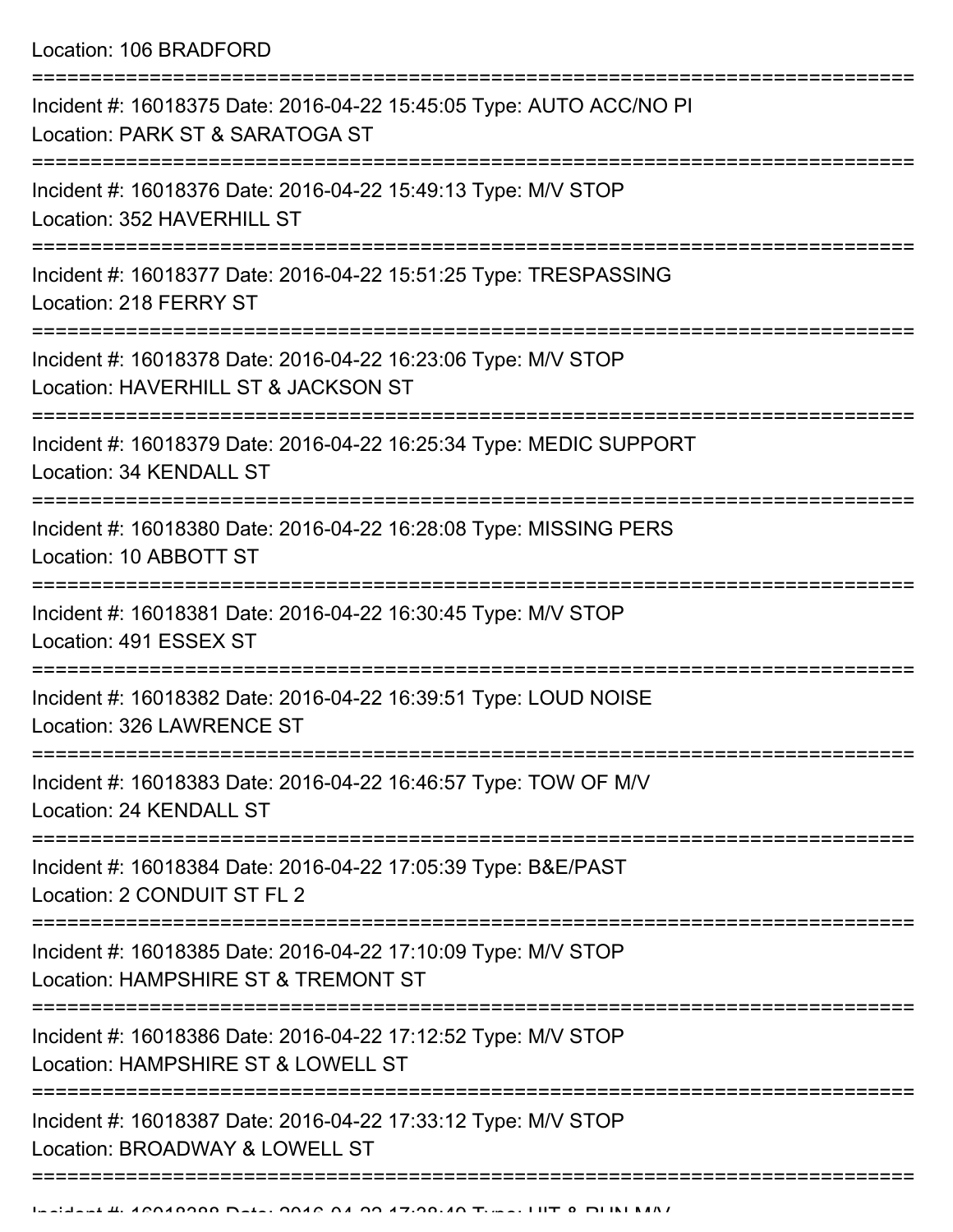Location: 106 BRADFORD

| Incident #: 16018375 Date: 2016-04-22 15:45:05 Type: AUTO ACC/NO PI<br>Location: PARK ST & SARATOGA ST |
|--------------------------------------------------------------------------------------------------------|
| Incident #: 16018376 Date: 2016-04-22 15:49:13 Type: M/V STOP<br>Location: 352 HAVERHILL ST            |
| Incident #: 16018377 Date: 2016-04-22 15:51:25 Type: TRESPASSING<br>Location: 218 FERRY ST             |
| Incident #: 16018378 Date: 2016-04-22 16:23:06 Type: M/V STOP<br>Location: HAVERHILL ST & JACKSON ST   |
| Incident #: 16018379 Date: 2016-04-22 16:25:34 Type: MEDIC SUPPORT<br>Location: 34 KENDALL ST          |
| Incident #: 16018380 Date: 2016-04-22 16:28:08 Type: MISSING PERS<br>Location: 10 ABBOTT ST            |
| Incident #: 16018381 Date: 2016-04-22 16:30:45 Type: M/V STOP<br>Location: 491 ESSEX ST                |
| Incident #: 16018382 Date: 2016-04-22 16:39:51 Type: LOUD NOISE<br>Location: 326 LAWRENCE ST           |
| Incident #: 16018383 Date: 2016-04-22 16:46:57 Type: TOW OF M/V<br>Location: 24 KENDALL ST             |
| Incident #: 16018384 Date: 2016-04-22 17:05:39 Type: B&E/PAST<br>Location: 2 CONDUIT ST FL 2           |
| Incident #: 16018385 Date: 2016-04-22 17:10:09 Type: M/V STOP<br>Location: HAMPSHIRE ST & TREMONT ST   |
| Incident #: 16018386 Date: 2016-04-22 17:12:52 Type: M/V STOP<br>Location: HAMPSHIRE ST & LOWELL ST    |
| Incident #: 16018387 Date: 2016-04-22 17:33:12 Type: M/V STOP<br>Location: BROADWAY & LOWELL ST        |
|                                                                                                        |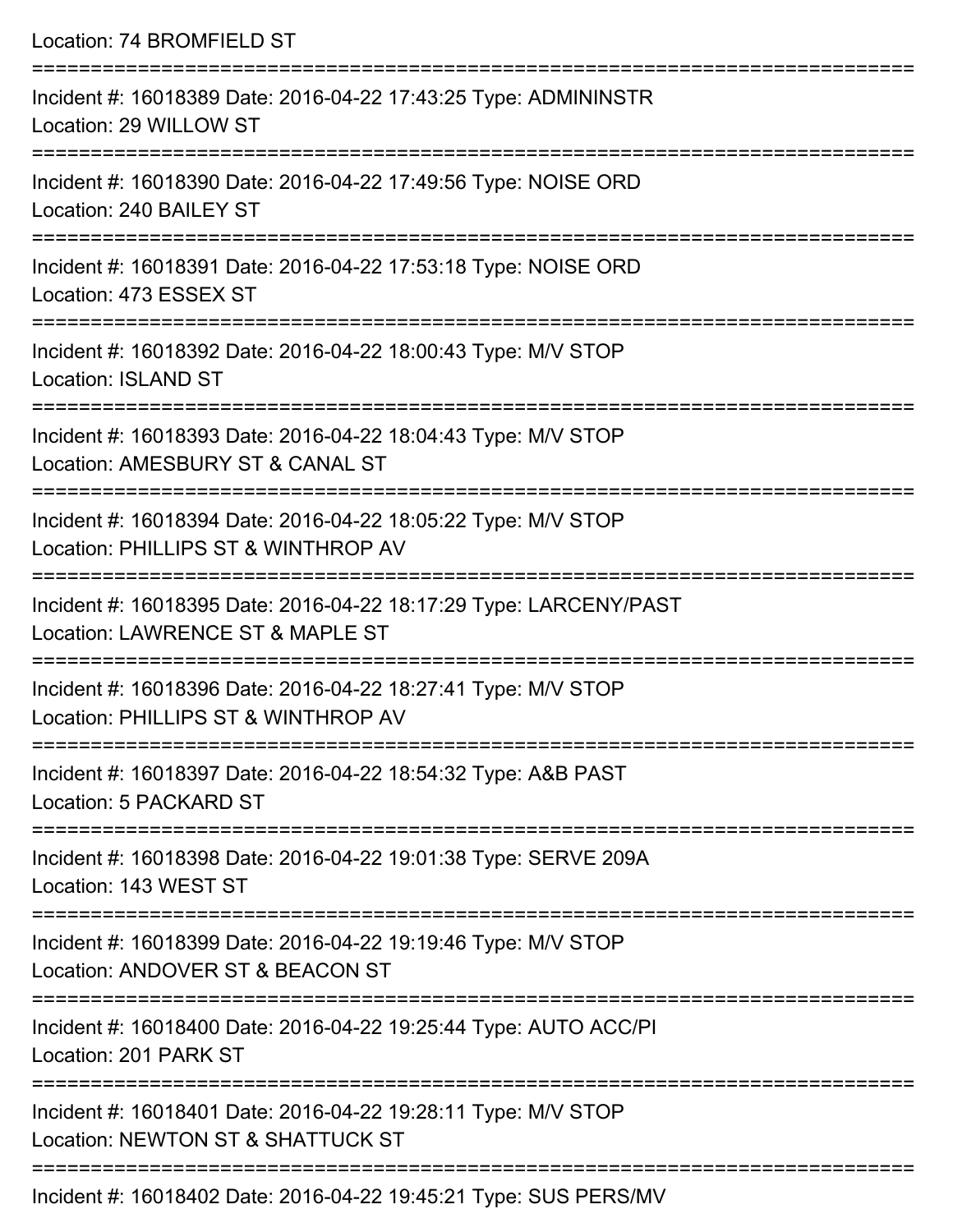| Location: 74 BROMFIELD ST                                                                                        |
|------------------------------------------------------------------------------------------------------------------|
| Incident #: 16018389 Date: 2016-04-22 17:43:25 Type: ADMININSTR<br>Location: 29 WILLOW ST                        |
| Incident #: 16018390 Date: 2016-04-22 17:49:56 Type: NOISE ORD<br>Location: 240 BAILEY ST                        |
| Incident #: 16018391 Date: 2016-04-22 17:53:18 Type: NOISE ORD<br>Location: 473 ESSEX ST<br>-------------------- |
| Incident #: 16018392 Date: 2016-04-22 18:00:43 Type: M/V STOP<br>Location: ISLAND ST                             |
| Incident #: 16018393 Date: 2016-04-22 18:04:43 Type: M/V STOP<br>Location: AMESBURY ST & CANAL ST                |
| Incident #: 16018394 Date: 2016-04-22 18:05:22 Type: M/V STOP<br>Location: PHILLIPS ST & WINTHROP AV             |
| Incident #: 16018395 Date: 2016-04-22 18:17:29 Type: LARCENY/PAST<br>Location: LAWRENCE ST & MAPLE ST            |
| Incident #: 16018396 Date: 2016-04-22 18:27:41 Type: M/V STOP<br>Location: PHILLIPS ST & WINTHROP AV             |
| Incident #: 16018397 Date: 2016-04-22 18:54:32 Type: A&B PAST<br>Location: 5 PACKARD ST                          |
| Incident #: 16018398 Date: 2016-04-22 19:01:38 Type: SERVE 209A<br>Location: 143 WEST ST                         |
| Incident #: 16018399 Date: 2016-04-22 19:19:46 Type: M/V STOP<br>Location: ANDOVER ST & BEACON ST                |
| Incident #: 16018400 Date: 2016-04-22 19:25:44 Type: AUTO ACC/PI<br>Location: 201 PARK ST                        |
| Incident #: 16018401 Date: 2016-04-22 19:28:11 Type: M/V STOP<br>Location: NEWTON ST & SHATTUCK ST               |
|                                                                                                                  |

Incident #: 16018402 Date: 2016-04-22 19:45:21 Type: SUS PERS/MV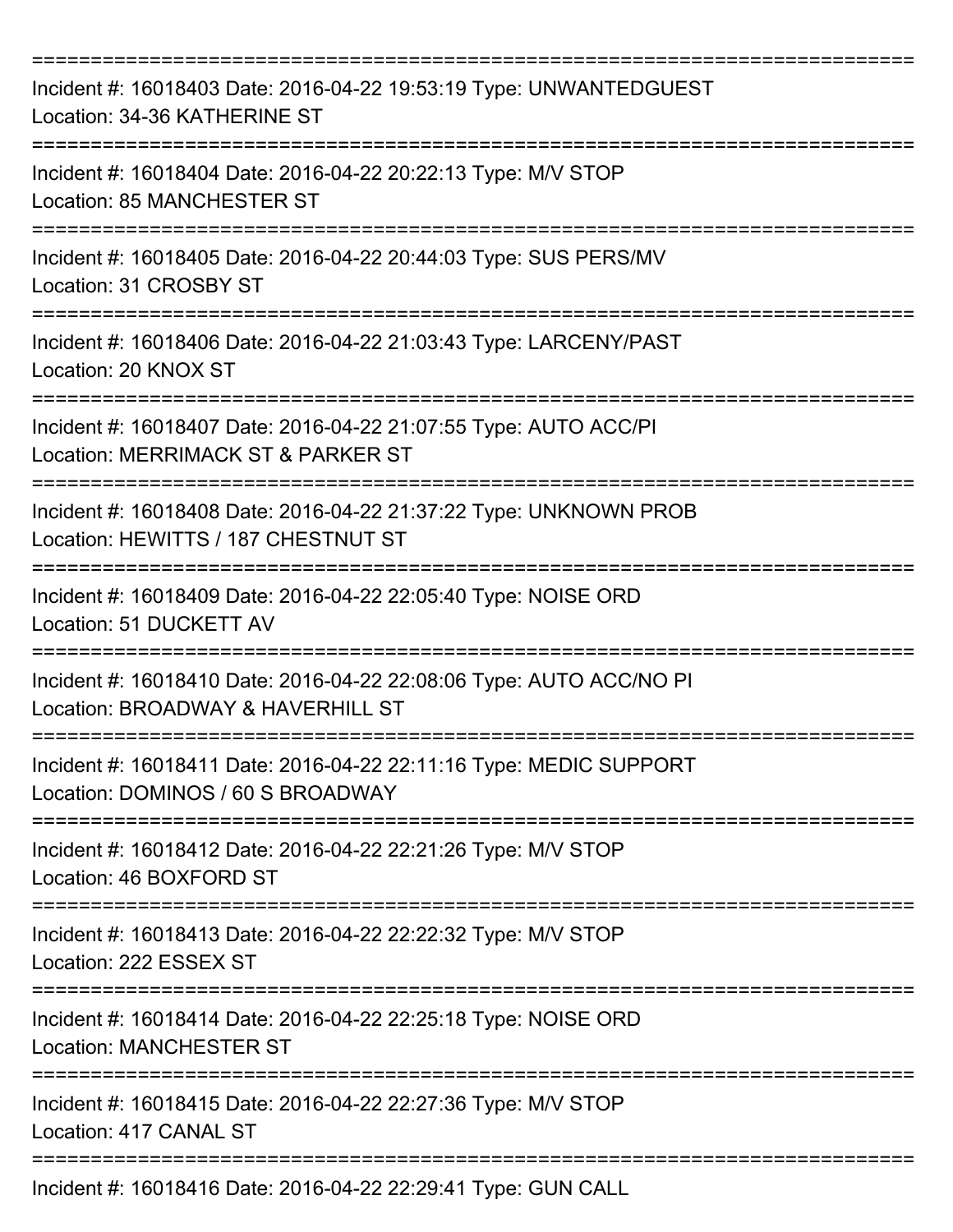| Incident #: 16018403 Date: 2016-04-22 19:53:19 Type: UNWANTEDGUEST<br>Location: 34-36 KATHERINE ST                          |
|-----------------------------------------------------------------------------------------------------------------------------|
| Incident #: 16018404 Date: 2016-04-22 20:22:13 Type: M/V STOP<br>Location: 85 MANCHESTER ST                                 |
| Incident #: 16018405 Date: 2016-04-22 20:44:03 Type: SUS PERS/MV<br>Location: 31 CROSBY ST                                  |
| Incident #: 16018406 Date: 2016-04-22 21:03:43 Type: LARCENY/PAST<br>Location: 20 KNOX ST                                   |
| Incident #: 16018407 Date: 2016-04-22 21:07:55 Type: AUTO ACC/PI<br>Location: MERRIMACK ST & PARKER ST                      |
| Incident #: 16018408 Date: 2016-04-22 21:37:22 Type: UNKNOWN PROB<br>Location: HEWITTS / 187 CHESTNUT ST                    |
| Incident #: 16018409 Date: 2016-04-22 22:05:40 Type: NOISE ORD<br>Location: 51 DUCKETT AV                                   |
| Incident #: 16018410 Date: 2016-04-22 22:08:06 Type: AUTO ACC/NO PI<br>Location: BROADWAY & HAVERHILL ST                    |
| Incident #: 16018411 Date: 2016-04-22 22:11:16 Type: MEDIC SUPPORT<br>Location: DOMINOS / 60 S BROADWAY                     |
| Incident #: 16018412 Date: 2016-04-22 22:21:26 Type: M/V STOP<br>Location: 46 BOXFORD ST                                    |
| Incident #: 16018413 Date: 2016-04-22 22:22:32 Type: M/V STOP<br>Location: 222 ESSEX ST                                     |
| =======================<br>Incident #: 16018414 Date: 2016-04-22 22:25:18 Type: NOISE ORD<br><b>Location: MANCHESTER ST</b> |
| Incident #: 16018415 Date: 2016-04-22 22:27:36 Type: M/V STOP<br>Location: 417 CANAL ST                                     |
| Incident #: 16018416 Date: 2016-04-22 22:29:41 Type: GUN CALL                                                               |